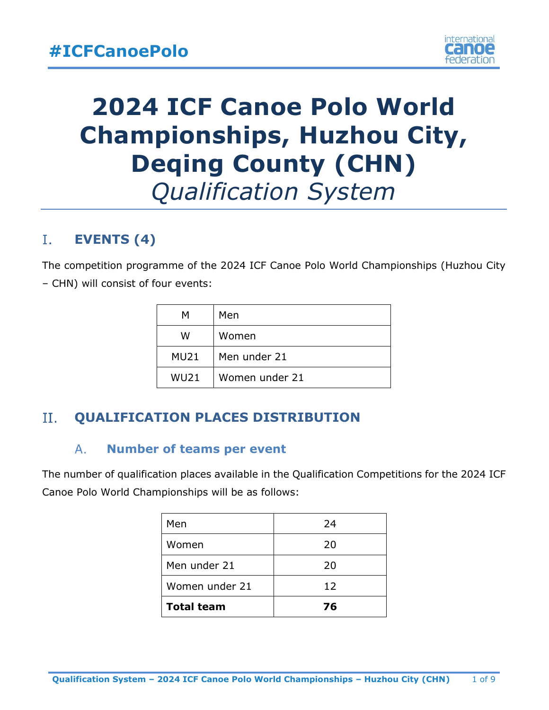

# **2024 ICF Canoe Polo World Championships, Huzhou City, Deqing County (CHN)** *Qualification System*

### L. **EVENTS (4)**

The competition programme of the 2024 ICF Canoe Polo World Championships (Huzhou City – CHN) will consist of four events:

| м           | Men            |
|-------------|----------------|
| W           | Women          |
| <b>MU21</b> | Men under 21   |
| <b>WU21</b> | Women under 21 |

### П. **QUALIFICATION PLACES DISTRIBUTION**

### $A<sub>1</sub>$ **Number of teams per event**

The number of qualification places available in the Qualification Competitions for the 2024 ICF Canoe Polo World Championships will be as follows:

| Men               | 24 |
|-------------------|----|
| Women             | 20 |
| Men under 21      | 20 |
| Women under 21    | 12 |
| <b>Total team</b> | 76 |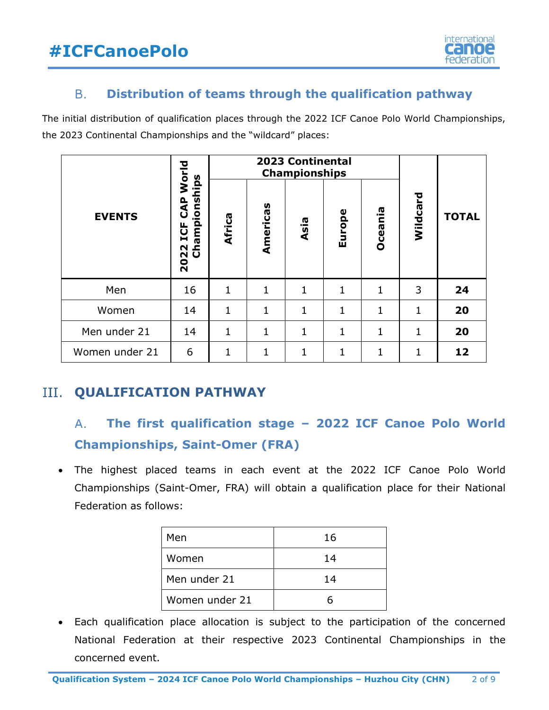

### **Distribution of teams through the qualification pathway B.**

The initial distribution of qualification places through the 2022 ICF Canoe Polo World Championships, the 2023 Continental Championships and the "wildcard" places:

|                | 2023 Continental<br>World<br><b>Championships</b>                                                                        |              |              |              |              |                |              |              |
|----------------|--------------------------------------------------------------------------------------------------------------------------|--------------|--------------|--------------|--------------|----------------|--------------|--------------|
| <b>EVENTS</b>  | ionships<br>$\mathbf{A}^{\mathbf{D}}$<br>Ū<br>hampi.<br><b>LCF</b><br>N<br>$\overline{O}$<br>$\mathbf{\mathsf{N}}$<br>20 | Africa       | Americas     | Asia         | Europe       | <b>Oceania</b> | Wildcard     | <b>TOTAL</b> |
| Men            | 16                                                                                                                       | $\mathbf{1}$ | $\mathbf{1}$ | $\mathbf{1}$ | $\mathbf{1}$ | 1              | 3            | 24           |
| Women          | 14                                                                                                                       | $\mathbf{1}$ | $\mathbf{1}$ | $\mathbf{1}$ | $\mathbf{1}$ | 1              | $\mathbf{1}$ | 20           |
| Men under 21   | 14                                                                                                                       | 1            | $\mathbf 1$  | $\mathbf{1}$ | $\mathbf{1}$ | 1              | 1            | 20           |
| Women under 21 | 6                                                                                                                        | 1            | $\mathbf{1}$ | 1            | $\mathbf{1}$ | 1              | 1            | 12           |

## **III. QUALIFICATION PATHWAY**

### **The first qualification stage – 2022 ICF Canoe Polo World**   $A_{\cdot}$ **Championships, Saint-Omer (FRA)**

• The highest placed teams in each event at the 2022 ICF Canoe Polo World Championships (Saint-Omer, FRA) will obtain a qualification place for their National Federation as follows:

| Men            | 16 |
|----------------|----|
| Women          | 14 |
| Men under 21   | 14 |
| Women under 21 |    |

• Each qualification place allocation is subject to the participation of the concerned National Federation at their respective 2023 Continental Championships in the concerned event.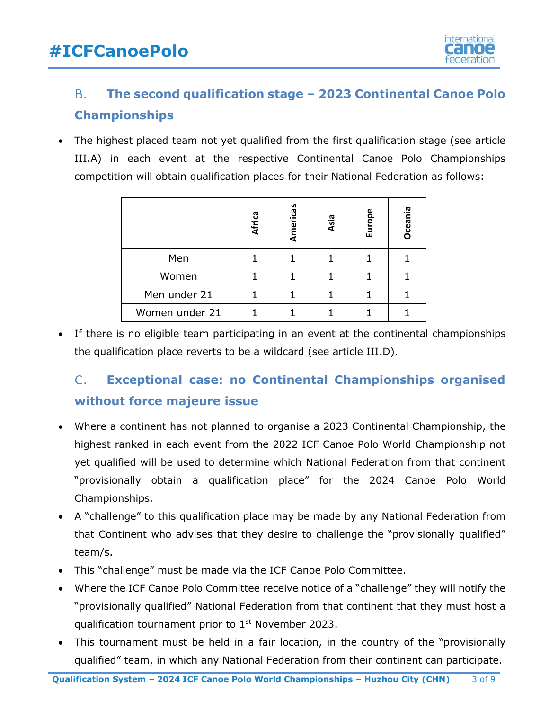

### **B. The second qualification stage – 2023 Continental Canoe Polo Championships**

• The highest placed team not yet qualified from the first qualification stage (see article III.A) in each event at the respective Continental Canoe Polo Championships competition will obtain qualification places for their National Federation as follows:

|                | <b>Africa</b> | Americas | Asia | Europe | <b>Oceania</b> |
|----------------|---------------|----------|------|--------|----------------|
| Men            |               |          |      |        |                |
| Women          |               |          |      |        |                |
| Men under 21   |               |          |      |        |                |
| Women under 21 |               |          |      |        |                |

• If there is no eligible team participating in an event at the continental championships the qualification place reverts to be a wildcard (see article III.D).

### $C_{\cdot}$ **Exceptional case: no Continental Championships organised without force majeure issue**

- Where a continent has not planned to organise a 2023 Continental Championship, the highest ranked in each event from the 2022 ICF Canoe Polo World Championship not yet qualified will be used to determine which National Federation from that continent "provisionally obtain a qualification place" for the 2024 Canoe Polo World Championships.
- A "challenge" to this qualification place may be made by any National Federation from that Continent who advises that they desire to challenge the "provisionally qualified" team/s.
- This "challenge" must be made via the ICF Canoe Polo Committee.
- Where the ICF Canoe Polo Committee receive notice of a "challenge" they will notify the "provisionally qualified" National Federation from that continent that they must host a qualification tournament prior to 1<sup>st</sup> November 2023.
- This tournament must be held in a fair location, in the country of the "provisionally qualified" team, in which any National Federation from their continent can participate.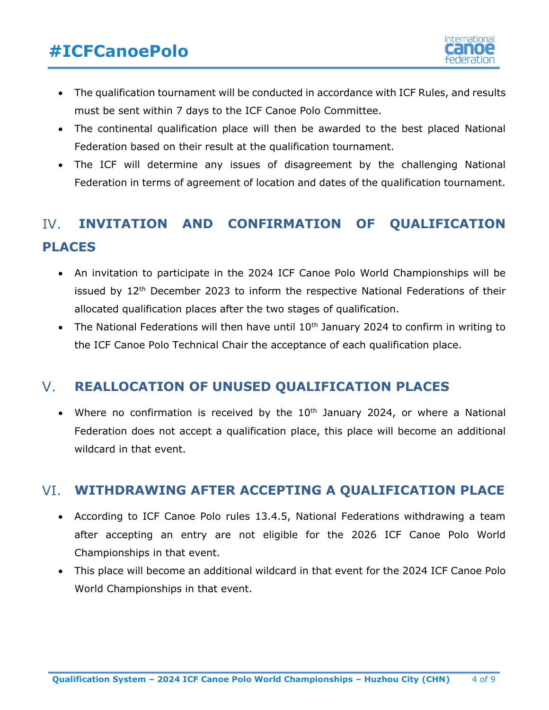## **#ICFCanoePolo**



- The qualification tournament will be conducted in accordance with ICF Rules, and results must be sent within 7 days to the ICF Canoe Polo Committee.
- The continental qualification place will then be awarded to the best placed National Federation based on their result at the qualification tournament.
- The ICF will determine any issues of disagreement by the challenging National Federation in terms of agreement of location and dates of the qualification tournament.

### **INVITATION AND CONFIRMATION OF QUALIFICATION** IV. **PLACES**

- An invitation to participate in the 2024 ICF Canoe Polo World Championships will be issued by 12<sup>th</sup> December 2023 to inform the respective National Federations of their allocated qualification places after the two stages of qualification.
- The National Federations will then have until  $10<sup>th</sup>$  January 2024 to confirm in writing to the ICF Canoe Polo Technical Chair the acceptance of each qualification place.

### **REALLOCATION OF UNUSED QUALIFICATION PLACES** V.

• Where no confirmation is received by the  $10<sup>th</sup>$  January 2024, or where a National Federation does not accept a qualification place, this place will become an additional wildcard in that event.

## **WITHDRAWING AFTER ACCEPTING A QUALIFICATION PLACE**

- According to ICF Canoe Polo rules 13.4.5, National Federations withdrawing a team after accepting an entry are not eligible for the 2026 ICF Canoe Polo World Championships in that event.
- This place will become an additional wildcard in that event for the 2024 ICF Canoe Polo World Championships in that event.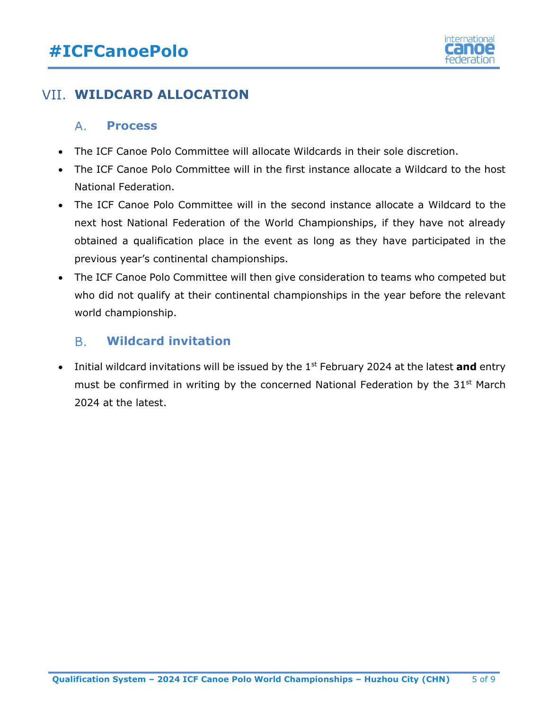## **#ICFCanoePolo**



## **WILDCARD ALLOCATION**

#### $A_{\cdot}$ **Process**

- The ICF Canoe Polo Committee will allocate Wildcards in their sole discretion.
- The ICF Canoe Polo Committee will in the first instance allocate a Wildcard to the host National Federation.
- The ICF Canoe Polo Committee will in the second instance allocate a Wildcard to the next host National Federation of the World Championships, if they have not already obtained a qualification place in the event as long as they have participated in the previous year's continental championships.
- The ICF Canoe Polo Committee will then give consideration to teams who competed but who did not qualify at their continental championships in the year before the relevant world championship.

#### **Wildcard invitation**  $B<sub>1</sub>$

• Initial wildcard invitations will be issued by the 1st February 2024 at the latest **and** entry must be confirmed in writing by the concerned National Federation by the 31<sup>st</sup> March 2024 at the latest.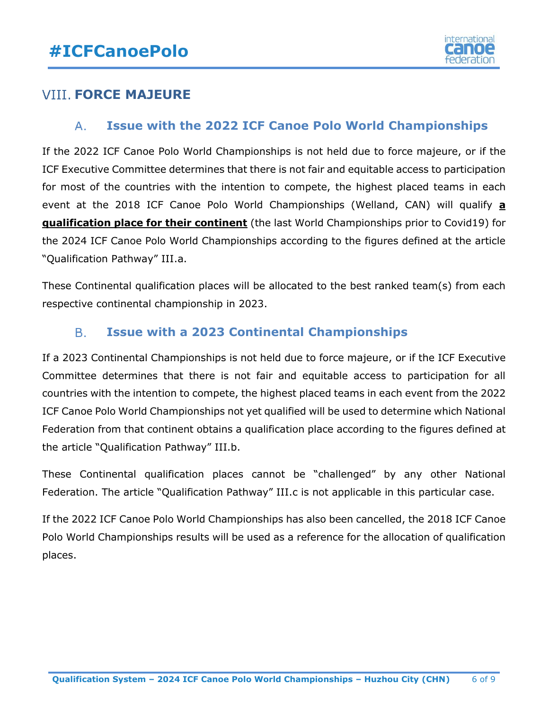

## **VIII. FORCE MAJEURE**

#### **Issue with the 2022 ICF Canoe Polo World Championships**  $\mathsf{A}_{\cdot}$

If the 2022 ICF Canoe Polo World Championships is not held due to force majeure, or if the ICF Executive Committee determines that there is not fair and equitable access to participation for most of the countries with the intention to compete, the highest placed teams in each event at the 2018 ICF Canoe Polo World Championships (Welland, CAN) will qualify **a qualification place for their continent** (the last World Championships prior to Covid19) for the 2024 ICF Canoe Polo World Championships according to the figures defined at the article "Qualification Pathway" III.a.

These Continental qualification places will be allocated to the best ranked team(s) from each respective continental championship in 2023.

### **Issue with a 2023 Continental Championships**  $B<sub>1</sub>$

If a 2023 Continental Championships is not held due to force majeure, or if the ICF Executive Committee determines that there is not fair and equitable access to participation for all countries with the intention to compete, the highest placed teams in each event from the 2022 ICF Canoe Polo World Championships not yet qualified will be used to determine which National Federation from that continent obtains a qualification place according to the figures defined at the article "Qualification Pathway" III.b.

These Continental qualification places cannot be "challenged" by any other National Federation. The article "Qualification Pathway" III.c is not applicable in this particular case.

If the 2022 ICF Canoe Polo World Championships has also been cancelled, the 2018 ICF Canoe Polo World Championships results will be used as a reference for the allocation of qualification places.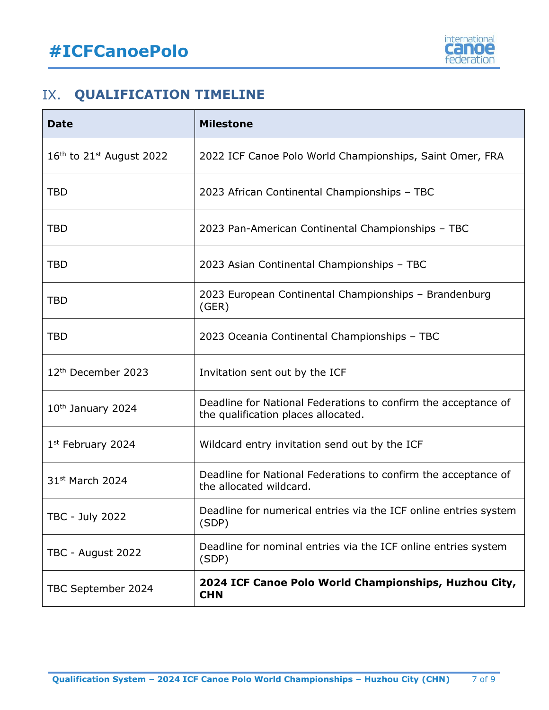

## **IX.** QUALIFICATION TIMELINE

| <b>Date</b>                            | <b>Milestone</b>                                                                                      |
|----------------------------------------|-------------------------------------------------------------------------------------------------------|
| $16th$ to 21 <sup>st</sup> August 2022 | 2022 ICF Canoe Polo World Championships, Saint Omer, FRA                                              |
| <b>TBD</b>                             | 2023 African Continental Championships - TBC                                                          |
| <b>TBD</b>                             | 2023 Pan-American Continental Championships - TBC                                                     |
| <b>TBD</b>                             | 2023 Asian Continental Championships - TBC                                                            |
| <b>TBD</b>                             | 2023 European Continental Championships - Brandenburg<br>(GER)                                        |
| <b>TBD</b>                             | 2023 Oceania Continental Championships - TBC                                                          |
| 12 <sup>th</sup> December 2023         | Invitation sent out by the ICF                                                                        |
| 10 <sup>th</sup> January 2024          | Deadline for National Federations to confirm the acceptance of<br>the qualification places allocated. |
| $1st$ February 2024                    | Wildcard entry invitation send out by the ICF                                                         |
| 31st March 2024                        | Deadline for National Federations to confirm the acceptance of<br>the allocated wildcard.             |
| <b>TBC - July 2022</b>                 | Deadline for numerical entries via the ICF online entries system<br>(SDP)                             |
| TBC - August 2022                      | Deadline for nominal entries via the ICF online entries system<br>(SDP)                               |
| TBC September 2024                     | 2024 ICF Canoe Polo World Championships, Huzhou City,<br><b>CHN</b>                                   |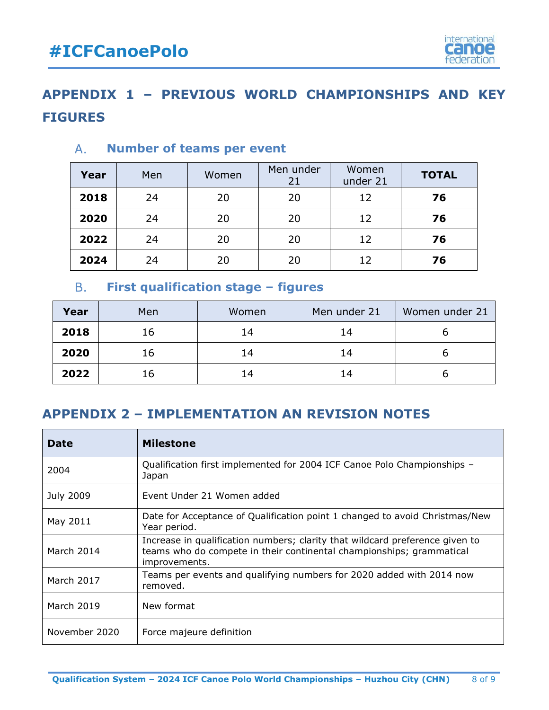

## **APPENDIX 1 – PREVIOUS WORLD CHAMPIONSHIPS AND KEY FIGURES**

| Year | Men | Women | Men under<br>21 | Women<br>under 21 | <b>TOTAL</b> |
|------|-----|-------|-----------------|-------------------|--------------|
| 2018 | 24  | 20    | 20              | 12                | 76           |
| 2020 | 24  | 20    | 20              | 12                | 76           |
| 2022 | 24  | 20    | 20              | 12                | 76           |
| 2024 | 24  | 20    | 20              | 12                | 76           |

## **Number of teams per event**

#### **B. First qualification stage – figures**

| Year | Men | Women | Men under 21 | Women under 21 |
|------|-----|-------|--------------|----------------|
| 2018 | 16  | 14    | 14           |                |
| 2020 | 16  | 14    | 14           |                |
| 2022 | 16  | 14    | 14           |                |

## **APPENDIX 2 – IMPLEMENTATION AN REVISION NOTES**

| <b>Date</b>      | <b>Milestone</b>                                                                                                                                                      |
|------------------|-----------------------------------------------------------------------------------------------------------------------------------------------------------------------|
| 2004             | Qualification first implemented for 2004 ICF Canoe Polo Championships -<br>Japan                                                                                      |
| <b>July 2009</b> | Event Under 21 Women added                                                                                                                                            |
| May 2011         | Date for Acceptance of Qualification point 1 changed to avoid Christmas/New<br>Year period.                                                                           |
| March 2014       | Increase in qualification numbers; clarity that wildcard preference given to<br>teams who do compete in their continental championships; grammatical<br>improvements. |
| March 2017       | Teams per events and qualifying numbers for 2020 added with 2014 now<br>removed.                                                                                      |
| March 2019       | New format                                                                                                                                                            |
| November 2020    | Force majeure definition                                                                                                                                              |